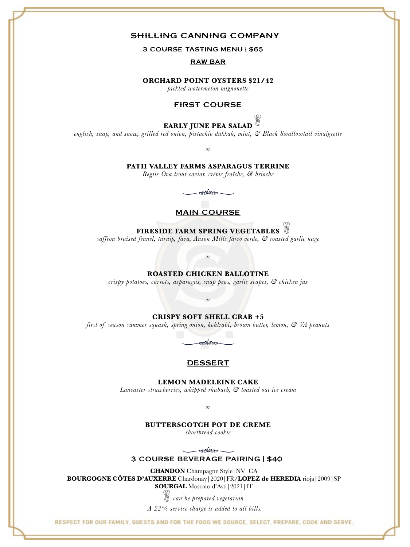# SHILLING CANNING COMPANY

3 COURSE TASTING MENU | \$65

RAW BAR

## **ORCHARD POINT OYSTERS \$21/42**

*pickled watermelon mignonette* 

# FIRST COURSE

# **EARLY JUNE PEA SALAD**

*english, snap, and snow, grilled red onion, pistachio dukkah, mint, & Black Swallowtail vinaigrette* 

*or*

**PATH VALLEY FARMS ASPARAGUS TERRINE** 

*Regiis Ova trout caviar, crème fraîche, & brioche*

Na

## MAIN COURSE

# **FIRESIDE FARM SPRING VEGETABLES**

*saffron braised fennel, turnip, fava, Anson Mills farro verde, & roasted garlic nage*

*or*

#### **ROASTED CHICKEN BALLOTINE**

*crispy potatoes, carrots, asparagus, snap peas, garlic scapes, & chicken jus*

*or*

#### **CRISPY SOFT SHELL CRAB +5**

*first of season summer squash, spring onion, kohlrabi, brown butter, lemon, & VA peanuts* 



### **DESSERT**

**LEMON MADELEINE CAKE**

*Lancaster strawberries, whipped rhubarb, & toasted oat ice cream*

*or*

#### **BUTTERSCOTCH POT DE CREME**

*shortbread cookie*

**Solar** 

#### 3 COURSE BEVERAGE PAIRING | \$40

**CHANDON** Champagne Style|NV|CA **BOURGOGNE CÔTES D'AUXERRE** Chardonay|2020|FR/**LOPEZ de HEREDIA** rioja|2009|SP **SOURGAL** Moscato d'Asti|2021|IT

*= can be prepared vegetarian*

*A 22% service charge is added to all bills.*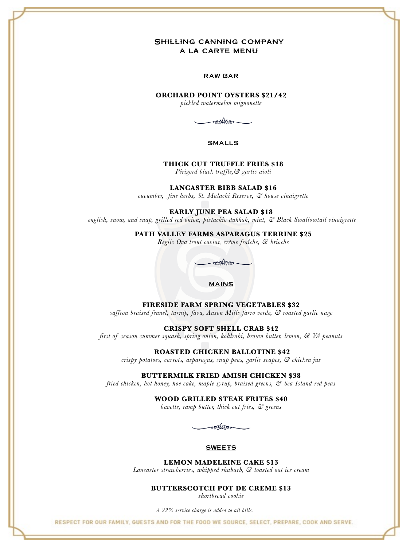# Shilling canning company a la carte menu

#### RAW BAR

## **ORCHARD POINT OYSTERS \$21/42**

*pickled watermelon mignonette* 

*mys* 

#### SMALLS

#### **THICK CUT TRUFFLE FRIES \$18**

*Périgord black truffle,& garlic aioli* 

**LANCASTER BIBB SALAD \$16**

*cucumber, fine herbs, St. Malachi Reserve, & house vinaigrette* 

**EARLY JUNE PEA SALAD \$18**

 *english, snow, and snap, grilled red onion, pistachio dukkah, mint, & Black Swallowtail vinaigrette* 

**PATH VALLEY FARMS ASPARAGUS TERRINE \$25**

*Regiis Ova trout caviar, crème fraîche, & brioche*



**FIRESIDE FARM SPRING VEGETABLES \$32**

*saffron braised fennel, turnip, fava, Anson Mills farro verde, & roasted garlic nage*

**CRISPY SOFT SHELL CRAB \$42**

*first of season summer squash, spring onion, kohlrabi, brown butter, lemon, & VA peanuts* 

 **ROASTED CHICKEN BALLOTINE \$42**

*crispy potatoes, carrots, asparagus, snap peas, garlic scapes, & chicken jus*

#### **BUTTERMILK FRIED AMISH CHICKEN \$38**

*fried chicken, hot honey, hoe cake, maple syrup, braised greens, & Sea Island red peas*

### **WOOD GRILLED STEAK FRITES \$40**

*bavette, ramp butter, thick cut fries, & greens*

 $\mathbb{R}$ 

#### **SWEETS**

**LEMON MADELEINE CAKE \$13**

*Lancaster strawberries, whipped rhubarb, & toasted oat ice cream*

**BUTTERSCOTCH POT DE CREME \$13**

*shortbread cookie*

*A 22% service charge is added to all bills.*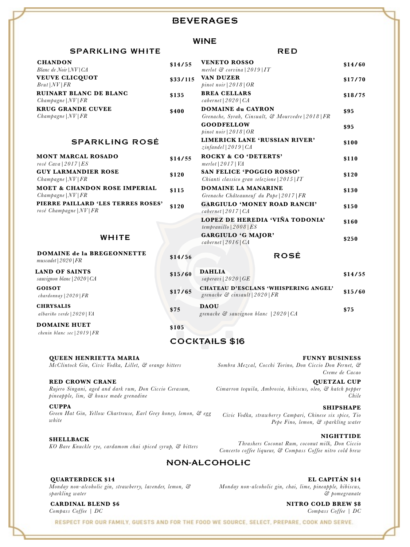# **BEVERAGES**

# WINE

## SPARKLING WHITE RED

| <b>CHANDON</b><br>Blanc de Noir   NV   CA                                             | \$14/55  | <b>VENETO ROSSO</b><br>merlot $\mathcal C$ corvina   2019   IT                             | \$14/60 |
|---------------------------------------------------------------------------------------|----------|--------------------------------------------------------------------------------------------|---------|
| <b>VEUVE CLICQUOT</b><br>$Brut$ $ NV $ $FR$                                           | \$33/115 | <b>VAN DUZER</b><br>pinot noir $\lfloor 2018 \rfloor$ OR                                   | \$17/70 |
| <b>RUINART BLANC DE BLANC</b><br>Champagne   NV  FR                                   | \$135    | <b>BREA CELLARS</b><br>cabernet $(2020) CA$                                                | \$18/75 |
| <b>KRUG GRANDE CUVEE</b><br>Champagne   NV  FR                                        | \$400    | <b>DOMAINE du CAYRON</b><br>Grenache, Syrah, Cinsualt, & Mourvedre   2018   FR             | \$95    |
|                                                                                       |          | <b>GOODFELLOW</b><br>pinot noir $\lfloor 2018 \rfloor$ OR                                  | \$95    |
| <b>SPARKLING ROSÉ</b>                                                                 |          | <b>LIMERICK LANE 'RUSSIAN RIVER'</b><br>$zinfandel$   2019   CA                            | \$100   |
| <b>MONT MARCAL ROSADO</b><br>rosé Cava   2017   $ES$                                  | \$14/55  | <b>ROCKY &amp; CO 'DETERTS'</b><br>$merlot$   2017   VA                                    | \$110   |
| <b>GUY LARMANDIER ROSE</b><br>Champagne   NV  FR                                      | \$120    | SAN FELICE 'POGGIO ROSSO'<br>Chianti classico gran selezione $ 2015 IT$                    | \$120   |
| <b>MOET &amp; CHANDON ROSE IMPERIAL</b><br>Champagne   NV  FR                         | \$115    | <b>DOMAINE LA MANARINE</b><br>Grenache Châteauneuf du Pape   2017   FR                     | \$130   |
| PIERRE PAILLARD 'LES TERRES ROSES'<br>rosé Champagne $ NV FR$                         | \$120    | <b>GARGIULO 'MONEY ROAD RANCH'</b><br>cabernet $\vert 2017 \vert CA$                       | \$150   |
|                                                                                       |          | LOPEZ DE HEREDIA 'VIÑA TODONIA'<br>tempranillo $\vert 2008 \vert ES$                       | \$160   |
| WHITE                                                                                 |          | <b>GARGIULO 'G MAJOR'</b><br>$\mathit{cabernet} \mid 2016 \mid \mathit{CA}$                | \$250   |
| <b>DOMAINE de la BREGEONNETTE</b><br>muscadet   2020   FR                             | \$14/56  | <b>ROSĖ</b>                                                                                |         |
| <b>LAND OF SAINTS</b><br>sauvignon blanc   2020   CA                                  | \$15/60  | <b>DAHLIA</b><br>saperavi   2020   $GE$                                                    | \$14/55 |
| <b>GOISOT</b><br>$chardonnay$   2020   $FR$                                           | \$17/65  | <b>CHATEAU D'ESCLANS 'WHISPERING ANGEL'</b><br>grenache $\mathcal{C}$ cinsault   2020   FR | \$15/60 |
| <b>CHRYSALIS</b><br>albariño verde $(2020)$ VA                                        | \$75     | <b>DAOU</b><br>grenache $\mathcal C$ sauvignon blanc $(2020)$ CA                           | \$75    |
| <b>DOMAINE HUET</b><br>chenin blanc sec $\lfloor 2019 \rfloor FR$                     | \$105    |                                                                                            |         |
|                                                                                       |          | <b>COCKTAILS \$16</b>                                                                      |         |
| <b>QUEEN HENRIETTA MARIA</b><br>McClintock Gin, Civic Vodka, Lillet, & orange bitters |          | <b>FUNNY BUSINESS</b><br>Sombra Mezcal, Cocchi Torino, Don Ciccio Don Fernet, &            |         |

#### **RED CROWN CRANE**

*Rujero Singani, aged and dark rum, Don Ciccio Cerasum, pineapple, lim, & house made grenadine* 

**CUPPA**

*Green Hat Gin, Yellow Chartreuse, Earl Grey honey, lemon, & egg white*

**SHELLBACK**

*KO Bare Knuckle rye, cardamom chai spiced syrup, & bitters* 

*Sombra Mezcal, Cocchi Torino, Don Ciccio Don Fernet, & Creme de Cacao*

**QUETZAL CUP** *Cimarron tequila, Ambrosia, hibiscus, oleo, & hatch pepper Chile*

**SHIPSHAPE** *Civic Vodka, strawberry Campari, Chinese six spice, Tio Pepe Fino, lemon, & sparkling water*

**NIGHTTIDE** *Thrashers Coconut Rum, coconut milk, Don Ciccio Concerto coffee liqueur, & Compass Coffee nitro cold brew* 

# NON-ALCOHOLIC

**QUARTERDECK \$14** *Monday non-alcoholic gin, strawberry, lavender, lemon, & sparkling water*

**CARDINAL BLEND \$6** *Compass Coffee | DC*

**EL CAPITÁN \$14** *Monday non-alcoholic gin, chai, lime, pineapple, hibiscus, & pomegranate*

> **NITRO COLD BREW \$8** *Compass Coffee | DC*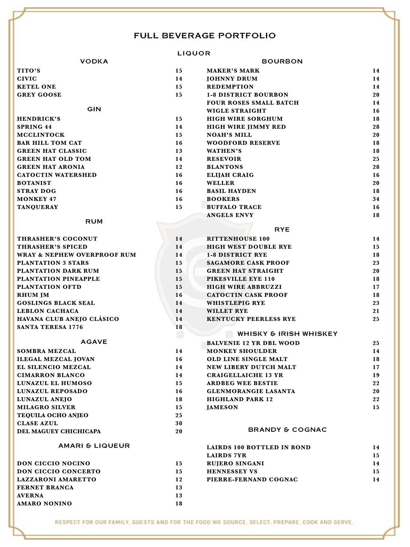# FULL BEVERAGE PORTFOLIO

# LIQUOR

|                                        |           | LIWUUK                         |    |
|----------------------------------------|-----------|--------------------------------|----|
| <b>VODKA</b>                           |           | <b>BOURBON</b>                 |    |
| TITO'S                                 | 15        | <b>MAKER'S MARK</b>            | 14 |
| <b>CIVIC</b>                           | 14        | <b>JOHNNY DRUM</b>             | 14 |
| <b>KETEL ONE</b>                       | 15        | <b>REDEMPTION</b>              | 14 |
| <b>GREY GOOSE</b>                      | 15        | <b>1-8 DISTRICT BOURBON</b>    | 20 |
|                                        |           | <b>FOUR ROSES SMALL BATCH</b>  | 14 |
| GIN                                    |           | <b>WIGLE STRAIGHT</b>          | 16 |
| <b>HENDRICK'S</b>                      | 15        | <b>HIGH WIRE SORGHUM</b>       | 18 |
| <b>SPRING 44</b>                       | 14        | <b>HIGH WIRE JIMMY RED</b>     | 28 |
| <b>MCCLINTOCK</b>                      | 15        | <b>NOAH'S MILL</b>             | 20 |
| <b>BAR HILL TOM CAT</b>                | 16        | <b>WOODFORD RESERVE</b>        | 18 |
| <b>GREEN HAT CLASSIC</b>               | 13        | <b>WATHEN'S</b>                | 18 |
| <b>GREEN HAT OLD TOM</b>               | 14        | <b>RESEVOIR</b>                | 25 |
| <b>GREEN HAT ARONIA</b>                | 12        | <b>BLANTONS</b>                | 28 |
| <b>CATOCTIN WATERSHED</b>              | 16        | <b>ELIJAH CRAIG</b>            | 16 |
| <b>BOTANIST</b>                        | 16        | <b>WELLER</b>                  | 20 |
| <b>STRAY DOG</b>                       | 16        | <b>BASIL HAYDEN</b>            | 18 |
| <b>MONKEY 47</b>                       | 16        | <b>BOOKERS</b>                 | 34 |
| <b>TANQUERAY</b>                       | 15        | <b>BUFFALO TRACE</b>           | 16 |
|                                        |           | <b>ANGELS ENVY</b>             | 18 |
| <b>RUM</b>                             |           |                                |    |
|                                        |           | <b>RYE</b>                     |    |
| THRASHER'S COCONUT                     | 14        | <b>RITTENHOUSE 100</b>         | 14 |
| <b>THRASHER'S SPICED</b>               | 14        | <b>HIGH WEST DOUBLE RYE</b>    | 15 |
| <b>WRAY &amp; NEPHEW OVERPROOF RUM</b> | 14        | <b>1-8 DISTRICT RYE</b>        | 18 |
| <b>PLANTATION 3 STARS</b>              | 15        | <b>SAGAMORE CASK PROOF</b>     | 23 |
| PLANTATION DARK RUM                    | 15        | <b>GREEN HAT STRAIGHT</b>      | 20 |
| PLANTATION PINEAPPLE                   | 15        | PIKESVILLE EYE 110             | 18 |
| PLANTATION OFTD                        | 15        | <b>HIGH WIRE ABBRUZZI</b>      | 17 |
| <b>RHUM JM</b>                         | <b>16</b> | <b>CATOCTIN CASK PROOF</b>     | 18 |
| <b>GOSLINGS BLACK SEAL</b>             | 14        | WHISTLEPIG RYE                 | 23 |
| <b>LEBLON CACHACA</b>                  | 14        | <b>WILLET RYE</b>              | 21 |
| HAVANA CLUB ANEJO CLÁSICO              | 14        | <b>KENTUCKY PEERLESS RYE</b>   | 25 |
| <b>SANTA TERESA 1776</b>               | 18        |                                |    |
|                                        | U.        | WHISKY & IRISH WHISKEY         |    |
| <b>AGAVE</b>                           |           | <b>BALVENIE 12 YR DBL WOOD</b> | 25 |
| <b>SOMBRA MEZCAL</b>                   | 14        | <b>MONKEY SHOULDER</b>         | 14 |
| <b>ILEGAL MEZCAL JOVAN</b>             | 16        | OLD LINE SINGLE MALT           | 18 |

| <b>ILEGAL MEZCAL JOVAN</b> | 16 | OLD LINE SINGLE MALT        | 18 |
|----------------------------|----|-----------------------------|----|
| <b>EL SILENCIO MEZCAL</b>  | 14 | NEW LIBERY DUTCH MALT       | 17 |
| <b>CIMARRON BLANCO</b>     | 14 | <b>CRAIGELLAICHE 13 YR</b>  | 19 |
| LUNAZUL EL HUMOSO          | 15 | <b>ARDBEG WEE BESTIE</b>    | 22 |
| LUNAZUL REPOSADO           | 16 | <b>GLENMORANGIE LASANTA</b> | 20 |
| LUNAZUL ANEJO              | 18 | <b>HIGHLAND PARK 12</b>     | 22 |
| <b>MILAGRO SILVER</b>      | 15 | <b>IAMESON</b>              | 15 |
| <b>TEQUILA OCHO ANJEO</b>  | 25 |                             |    |
| <b>CLASE AZUL</b>          | 30 |                             |    |
| DEL MAGUEY CHICHICAPA      | 20 | <b>BRANDY &amp; COGNAC</b>  |    |
|                            |    |                             |    |

| DON CICCIO NOCINO         | 15 |
|---------------------------|----|
| DON CICCIO CONCERTO       | 15 |
| <b>LAZZARONI AMARETTO</b> | 12 |
| <b>FERNET BRANCA</b>      | 13 |
| <b>AVERNA</b>             | 13 |
| <b>AMARO NONINO</b>       | 18 |

# AMARI & LIQUEUR **LAIRDS 100 BOTTLED IN BOND 14 LAIRDS 7YR 15 DON CICCIO NOCINO 15 RUJERO SINGANI 14 DOM CICCIO CONCERT CONCERT CONCERT CONCERT CONCERT CONCERT CONCERT CONCERT CONCERT CONCERT CONCERT CONCERT CONCERT CONCERT CONCERT CONCERT CONCERT CONCERT CONCERT CONCERT CONCERT CONCERT CONCERT CONCERT CONCERT CONCERT CO PIERRE-FERNAND COGNAC 14**